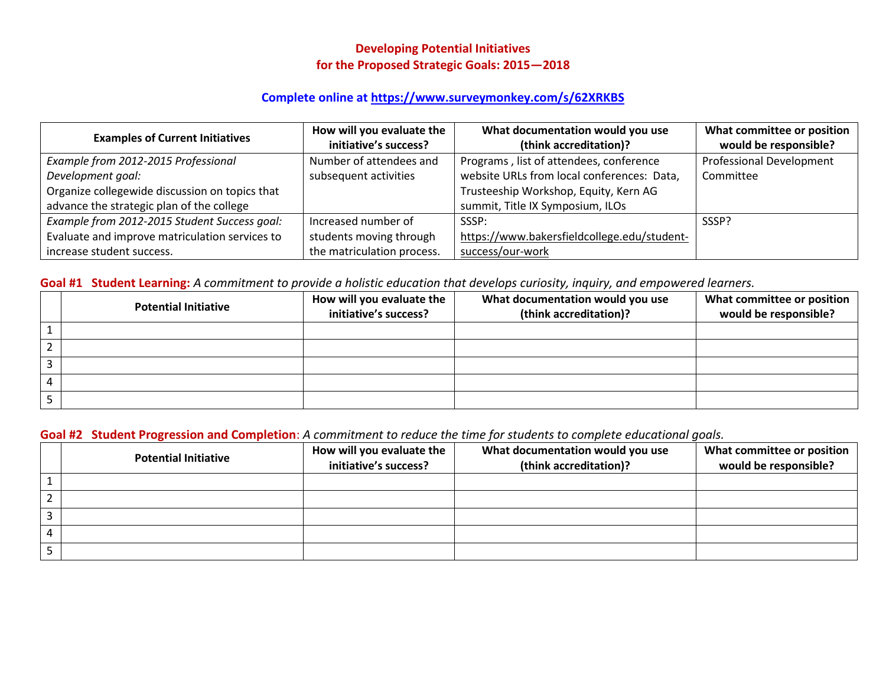## **Developing Potential Initiatives for the Proposed Strategic Goals: 2015—2018**

# **Complete online at <https://www.surveymonkey.com/s/62XRKBS>**

| <b>Examples of Current Initiatives</b>         | How will you evaluate the  | What documentation would you use            | What committee or position      |
|------------------------------------------------|----------------------------|---------------------------------------------|---------------------------------|
|                                                | initiative's success?      | (think accreditation)?                      | would be responsible?           |
| Example from 2012-2015 Professional            | Number of attendees and    | Programs, list of attendees, conference     | <b>Professional Development</b> |
| Development goal:                              | subsequent activities      | website URLs from local conferences: Data,  | Committee                       |
| Organize collegewide discussion on topics that |                            | Trusteeship Workshop, Equity, Kern AG       |                                 |
| advance the strategic plan of the college      |                            | summit, Title IX Symposium, ILOs            |                                 |
| Example from 2012-2015 Student Success goal:   | Increased number of        | SSSP:                                       | SSSP?                           |
| Evaluate and improve matriculation services to | students moving through    | https://www.bakersfieldcollege.edu/student- |                                 |
| increase student success.                      | the matriculation process. | success/our-work                            |                                 |

### **Goal #1 Student Learning:** *A commitment to provide a holistic education that develops curiosity, inquiry, and empowered learners.*

| <b>Potential Initiative</b> | How will you evaluate the<br>initiative's success? | What documentation would you use<br>(think accreditation)? | What committee or position<br>would be responsible? |
|-----------------------------|----------------------------------------------------|------------------------------------------------------------|-----------------------------------------------------|
|                             |                                                    |                                                            |                                                     |
|                             |                                                    |                                                            |                                                     |
|                             |                                                    |                                                            |                                                     |
|                             |                                                    |                                                            |                                                     |
|                             |                                                    |                                                            |                                                     |

#### **Goal #2 Student Progression and Completion**: *A commitment to reduce the time for students to complete educational goals.*

| <b>Potential Initiative</b> | How will you evaluate the<br>initiative's success? | What documentation would you use<br>(think accreditation)? | What committee or position<br>would be responsible? |
|-----------------------------|----------------------------------------------------|------------------------------------------------------------|-----------------------------------------------------|
|                             |                                                    |                                                            |                                                     |
|                             |                                                    |                                                            |                                                     |
|                             |                                                    |                                                            |                                                     |
|                             |                                                    |                                                            |                                                     |
|                             |                                                    |                                                            |                                                     |